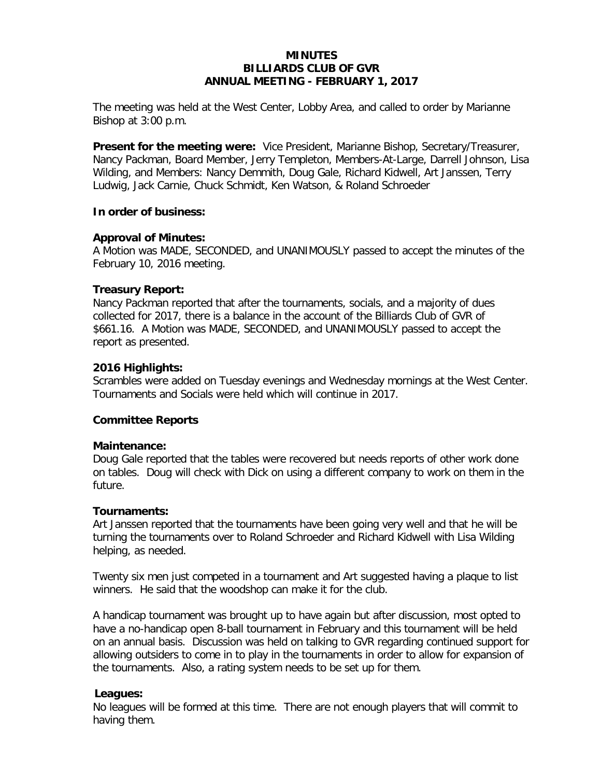# **MINUTES BILLIARDS CLUB OF GVR ANNUAL MEETING - FEBRUARY 1, 2017**

The meeting was held at the West Center, Lobby Area, and called to order by Marianne Bishop at 3:00 p.m.

**Present for the meeting were:** Vice President, Marianne Bishop, Secretary/Treasurer, Nancy Packman, Board Member, Jerry Templeton, Members-At-Large, Darrell Johnson, Lisa Wilding, and Members: Nancy Demmith, Doug Gale, Richard Kidwell, Art Janssen, Terry Ludwig, Jack Carnie, Chuck Schmidt, Ken Watson, & Roland Schroeder

### **In order of business:**

# **Approval of Minutes:**

A Motion was MADE, SECONDED, and UNANIMOUSLY passed to accept the minutes of the February 10, 2016 meeting.

### **Treasury Report:**

Nancy Packman reported that after the tournaments, socials, and a majority of dues collected for 2017, there is a balance in the account of the Billiards Club of GVR of \$661.16. A Motion was MADE, SECONDED, and UNANIMOUSLY passed to accept the report as presented.

### **2016 Highlights:**

Scrambles were added on Tuesday evenings and Wednesday mornings at the West Center. Tournaments and Socials were held which will continue in 2017.

# **Committee Reports**

#### **Maintenance:**

Doug Gale reported that the tables were recovered but needs reports of other work done on tables. Doug will check with Dick on using a different company to work on them in the future.

#### **Tournaments:**

Art Janssen reported that the tournaments have been going very well and that he will be turning the tournaments over to Roland Schroeder and Richard Kidwell with Lisa Wilding helping, as needed.

Twenty six men just competed in a tournament and Art suggested having a plaque to list winners. He said that the woodshop can make it for the club.

A handicap tournament was brought up to have again but after discussion, most opted to have a no-handicap open 8-ball tournament in February and this tournament will be held on an annual basis. Discussion was held on talking to GVR regarding continued support for allowing outsiders to come in to play in the tournaments in order to allow for expansion of the tournaments. Also, a rating system needs to be set up for them.

# **Leagues:**

No leagues will be formed at this time. There are not enough players that will commit to having them.